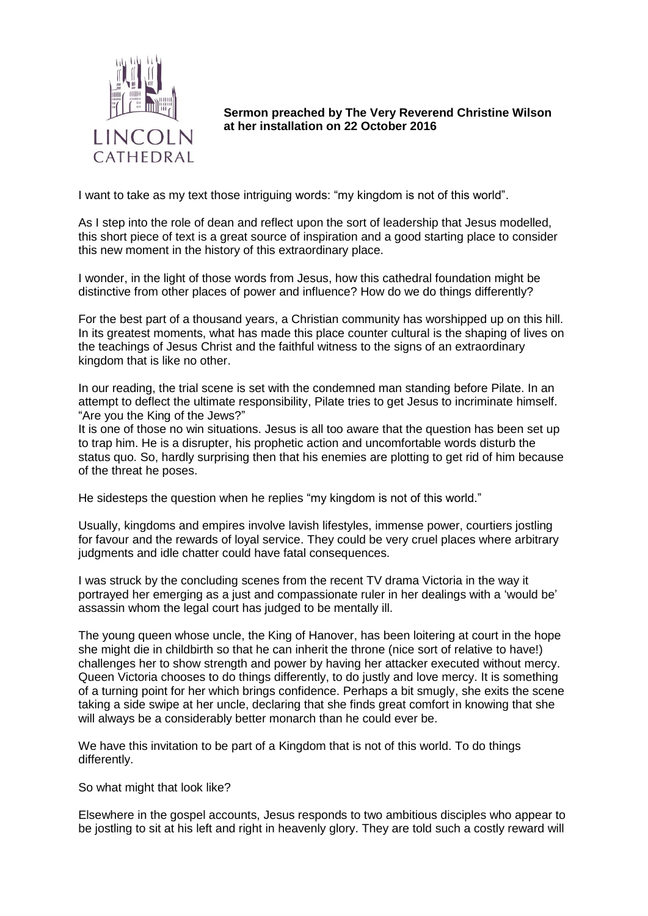

**Sermon preached by The Very Reverend Christine Wilson at her installation on 22 October 2016**

I want to take as my text those intriguing words: "my kingdom is not of this world".

As I step into the role of dean and reflect upon the sort of leadership that Jesus modelled, this short piece of text is a great source of inspiration and a good starting place to consider this new moment in the history of this extraordinary place.

I wonder, in the light of those words from Jesus, how this cathedral foundation might be distinctive from other places of power and influence? How do we do things differently?

For the best part of a thousand years, a Christian community has worshipped up on this hill. In its greatest moments, what has made this place counter cultural is the shaping of lives on the teachings of Jesus Christ and the faithful witness to the signs of an extraordinary kingdom that is like no other.

In our reading, the trial scene is set with the condemned man standing before Pilate. In an attempt to deflect the ultimate responsibility, Pilate tries to get Jesus to incriminate himself. "Are you the King of the Jews?"

It is one of those no win situations. Jesus is all too aware that the question has been set up to trap him. He is a disrupter, his prophetic action and uncomfortable words disturb the status quo. So, hardly surprising then that his enemies are plotting to get rid of him because of the threat he poses.

He sidesteps the question when he replies "my kingdom is not of this world."

Usually, kingdoms and empires involve lavish lifestyles, immense power, courtiers jostling for favour and the rewards of loyal service. They could be very cruel places where arbitrary judgments and idle chatter could have fatal consequences.

I was struck by the concluding scenes from the recent TV drama Victoria in the way it portrayed her emerging as a just and compassionate ruler in her dealings with a 'would be' assassin whom the legal court has judged to be mentally ill.

The young queen whose uncle, the King of Hanover, has been loitering at court in the hope she might die in childbirth so that he can inherit the throne (nice sort of relative to have!) challenges her to show strength and power by having her attacker executed without mercy. Queen Victoria chooses to do things differently, to do justly and love mercy. It is something of a turning point for her which brings confidence. Perhaps a bit smugly, she exits the scene taking a side swipe at her uncle, declaring that she finds great comfort in knowing that she will always be a considerably better monarch than he could ever be.

We have this invitation to be part of a Kingdom that is not of this world. To do things differently.

So what might that look like?

Elsewhere in the gospel accounts, Jesus responds to two ambitious disciples who appear to be jostling to sit at his left and right in heavenly glory. They are told such a costly reward will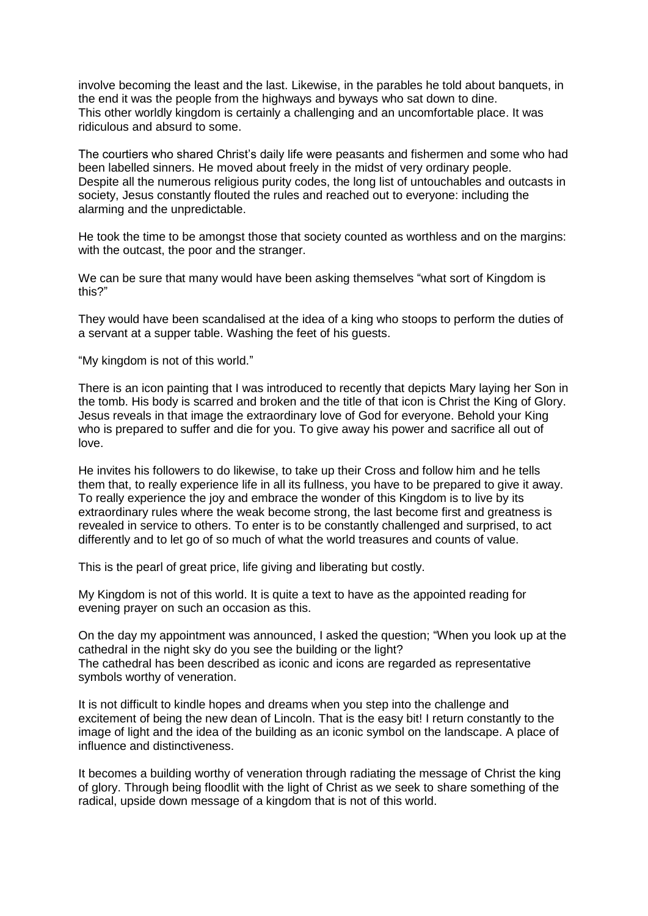involve becoming the least and the last. Likewise, in the parables he told about banquets, in the end it was the people from the highways and byways who sat down to dine. This other worldly kingdom is certainly a challenging and an uncomfortable place. It was ridiculous and absurd to some.

The courtiers who shared Christ's daily life were peasants and fishermen and some who had been labelled sinners. He moved about freely in the midst of very ordinary people. Despite all the numerous religious purity codes, the long list of untouchables and outcasts in society, Jesus constantly flouted the rules and reached out to everyone: including the alarming and the unpredictable.

He took the time to be amongst those that society counted as worthless and on the margins: with the outcast, the poor and the stranger.

We can be sure that many would have been asking themselves "what sort of Kingdom is this?"

They would have been scandalised at the idea of a king who stoops to perform the duties of a servant at a supper table. Washing the feet of his guests.

"My kingdom is not of this world."

There is an icon painting that I was introduced to recently that depicts Mary laying her Son in the tomb. His body is scarred and broken and the title of that icon is Christ the King of Glory. Jesus reveals in that image the extraordinary love of God for everyone. Behold your King who is prepared to suffer and die for you. To give away his power and sacrifice all out of love.

He invites his followers to do likewise, to take up their Cross and follow him and he tells them that, to really experience life in all its fullness, you have to be prepared to give it away. To really experience the joy and embrace the wonder of this Kingdom is to live by its extraordinary rules where the weak become strong, the last become first and greatness is revealed in service to others. To enter is to be constantly challenged and surprised, to act differently and to let go of so much of what the world treasures and counts of value.

This is the pearl of great price, life giving and liberating but costly.

My Kingdom is not of this world. It is quite a text to have as the appointed reading for evening prayer on such an occasion as this.

On the day my appointment was announced, I asked the question; "When you look up at the cathedral in the night sky do you see the building or the light? The cathedral has been described as iconic and icons are regarded as representative symbols worthy of veneration.

It is not difficult to kindle hopes and dreams when you step into the challenge and excitement of being the new dean of Lincoln. That is the easy bit! I return constantly to the image of light and the idea of the building as an iconic symbol on the landscape. A place of influence and distinctiveness.

It becomes a building worthy of veneration through radiating the message of Christ the king of glory. Through being floodlit with the light of Christ as we seek to share something of the radical, upside down message of a kingdom that is not of this world.